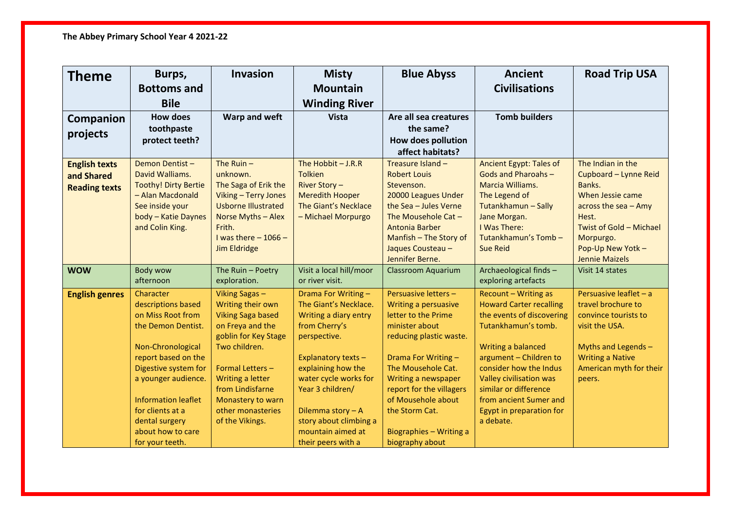| <b>Theme</b>                                               | Burps,                                                                                                                                                                                                                                                                            | <b>Invasion</b>                                                                                                                                                                                                                                       | <b>Misty</b>                                                                                                                                                                                                                                                                               | <b>Blue Abyss</b>                                                                                                                                                                                                                                                                                      | <b>Ancient</b>                                                                                                                                                                                                                                                                                              | <b>Road Trip USA</b>                                                                                                                                                                              |
|------------------------------------------------------------|-----------------------------------------------------------------------------------------------------------------------------------------------------------------------------------------------------------------------------------------------------------------------------------|-------------------------------------------------------------------------------------------------------------------------------------------------------------------------------------------------------------------------------------------------------|--------------------------------------------------------------------------------------------------------------------------------------------------------------------------------------------------------------------------------------------------------------------------------------------|--------------------------------------------------------------------------------------------------------------------------------------------------------------------------------------------------------------------------------------------------------------------------------------------------------|-------------------------------------------------------------------------------------------------------------------------------------------------------------------------------------------------------------------------------------------------------------------------------------------------------------|---------------------------------------------------------------------------------------------------------------------------------------------------------------------------------------------------|
|                                                            | <b>Bottoms and</b>                                                                                                                                                                                                                                                                |                                                                                                                                                                                                                                                       | <b>Mountain</b>                                                                                                                                                                                                                                                                            |                                                                                                                                                                                                                                                                                                        | <b>Civilisations</b>                                                                                                                                                                                                                                                                                        |                                                                                                                                                                                                   |
|                                                            | <b>Bile</b>                                                                                                                                                                                                                                                                       |                                                                                                                                                                                                                                                       | <b>Winding River</b>                                                                                                                                                                                                                                                                       |                                                                                                                                                                                                                                                                                                        |                                                                                                                                                                                                                                                                                                             |                                                                                                                                                                                                   |
| Companion<br>projects                                      | <b>How does</b><br>toothpaste<br>protect teeth?                                                                                                                                                                                                                                   | Warp and weft                                                                                                                                                                                                                                         | <b>Vista</b>                                                                                                                                                                                                                                                                               | Are all sea creatures<br>the same?<br><b>How does pollution</b><br>affect habitats?                                                                                                                                                                                                                    | <b>Tomb builders</b>                                                                                                                                                                                                                                                                                        |                                                                                                                                                                                                   |
| <b>English texts</b><br>and Shared<br><b>Reading texts</b> | Demon Dentist-<br>David Walliams.<br><b>Toothy! Dirty Bertie</b><br>- Alan Macdonald<br>See inside your<br>body - Katie Daynes<br>and Colin King.                                                                                                                                 | The Ruin $-$<br>unknown.<br>The Saga of Erik the<br>Viking - Terry Jones<br><b>Usborne Illustrated</b><br>Norse Myths - Alex<br>Frith.<br>I was there $-1066-$<br><b>Jim Eldridge</b>                                                                 | The Hobbit $-J.R.R$<br><b>Tolkien</b><br>River Story-<br><b>Meredith Hooper</b><br>The Giant's Necklace<br>- Michael Morpurgo                                                                                                                                                              | Treasure Island -<br><b>Robert Louis</b><br>Stevenson.<br>20000 Leagues Under<br>the Sea - Jules Verne<br>The Mousehole Cat -<br><b>Antonia Barber</b><br>Manfish - The Story of<br>Jaques Cousteau -<br>Jennifer Berne.                                                                               | Ancient Egypt: Tales of<br>Gods and Pharoahs-<br>Marcia Williams.<br>The Legend of<br>Tutankhamun - Sally<br>Jane Morgan.<br>I Was There:<br>Tutankhamun's Tomb-<br><b>Sue Reid</b>                                                                                                                         | The Indian in the<br>Cupboard - Lynne Reid<br>Banks.<br>When Jessie came<br>across the sea $-$ Amy<br>Hest.<br>Twist of Gold - Michael<br>Morpurgo.<br>Pop-Up New Yotk -<br><b>Jennie Maizels</b> |
| <b>WOW</b>                                                 | <b>Body wow</b><br>afternoon                                                                                                                                                                                                                                                      | The Ruin - Poetry<br>exploration.                                                                                                                                                                                                                     | Visit a local hill/moor<br>or river visit.                                                                                                                                                                                                                                                 | <b>Classroom Aquarium</b>                                                                                                                                                                                                                                                                              | Archaeological finds -<br>exploring artefacts                                                                                                                                                                                                                                                               | Visit 14 states                                                                                                                                                                                   |
| <b>English genres</b>                                      | Character<br>descriptions based<br>on Miss Root from<br>the Demon Dentist.<br>Non-Chronological<br>report based on the<br>Digestive system for<br>a younger audience.<br><b>Information leaflet</b><br>for clients at a<br>dental surgery<br>about how to care<br>for your teeth. | Viking Sagas -<br>Writing their own<br><b>Viking Saga based</b><br>on Freya and the<br>goblin for Key Stage<br>Two children.<br>Formal Letters -<br>Writing a letter<br>from Lindisfarne<br>Monastery to warn<br>other monasteries<br>of the Vikings. | Drama For Writing -<br>The Giant's Necklace.<br>Writing a diary entry<br>from Cherry's<br>perspective.<br>Explanatory texts -<br>explaining how the<br>water cycle works for<br>Year 3 children/<br>Dilemma story - A<br>story about climbing a<br>mountain aimed at<br>their peers with a | Persuasive letters -<br>Writing a persuasive<br>letter to the Prime<br>minister about<br>reducing plastic waste.<br>Drama For Writing -<br>The Mousehole Cat.<br>Writing a newspaper<br>report for the villagers<br>of Mousehole about<br>the Storm Cat.<br>Biographies - Writing a<br>biography about | Recount - Writing as<br><b>Howard Carter recalling</b><br>the events of discovering<br>Tutankhamun's tomb.<br>Writing a balanced<br>argument - Children to<br>consider how the Indus<br>Valley civilisation was<br>similar or difference<br>from ancient Sumer and<br>Egypt in preparation for<br>a debate. | Persuasive leaflet - a<br>travel brochure to<br>convince tourists to<br>visit the USA.<br>Myths and Legends -<br><b>Writing a Native</b><br>American myth for their<br>peers.                     |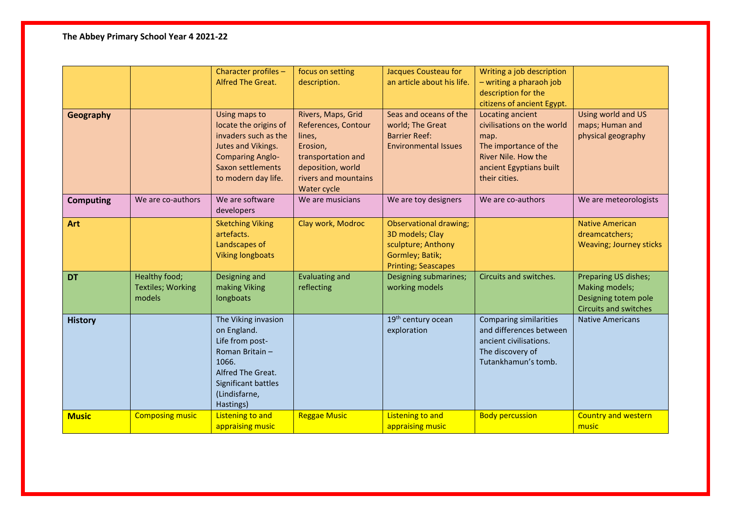| Geography        |                                                     | Character profiles -<br>Alfred The Great.<br>Using maps to<br>locate the origins of<br>invaders such as the<br>Jutes and Vikings.<br><b>Comparing Anglo-</b><br>Saxon settlements<br>to modern day life. | focus on setting<br>description.<br>Rivers, Maps, Grid<br>References, Contour<br>lines,<br>Erosion,<br>transportation and<br>deposition, world<br>rivers and mountains<br>Water cycle | Jacques Cousteau for<br>an article about his life.<br>Seas and oceans of the<br>world; The Great<br><b>Barrier Reef:</b><br><b>Environmental Issues</b> | Writing a job description<br>- writing a pharaoh job<br>description for the<br>citizens of ancient Egypt.<br>Locating ancient<br>civilisations on the world<br>map.<br>The importance of the<br>River Nile. How the<br>ancient Egyptians built<br>their cities. | Using world and US<br>maps; Human and<br>physical geography                                    |
|------------------|-----------------------------------------------------|----------------------------------------------------------------------------------------------------------------------------------------------------------------------------------------------------------|---------------------------------------------------------------------------------------------------------------------------------------------------------------------------------------|---------------------------------------------------------------------------------------------------------------------------------------------------------|-----------------------------------------------------------------------------------------------------------------------------------------------------------------------------------------------------------------------------------------------------------------|------------------------------------------------------------------------------------------------|
| <b>Computing</b> | We are co-authors                                   | We are software<br>developers                                                                                                                                                                            | We are musicians                                                                                                                                                                      | We are toy designers                                                                                                                                    | We are co-authors                                                                                                                                                                                                                                               | We are meteorologists                                                                          |
| Art              |                                                     | <b>Sketching Viking</b><br>artefacts.<br>Landscapes of<br><b>Viking longboats</b>                                                                                                                        | Clay work, Modroc                                                                                                                                                                     | <b>Observational drawing;</b><br>3D models; Clay<br>sculpture; Anthony<br>Gormley; Batik;<br><b>Printing; Seascapes</b>                                 |                                                                                                                                                                                                                                                                 | <b>Native American</b><br>dreamcatchers;<br><b>Weaving; Journey sticks</b>                     |
| <b>DT</b>        | Healthy food;<br><b>Textiles; Working</b><br>models | Designing and<br>making Viking<br>longboats                                                                                                                                                              | <b>Evaluating and</b><br>reflecting                                                                                                                                                   | Designing submarines;<br>working models                                                                                                                 | Circuits and switches.                                                                                                                                                                                                                                          | Preparing US dishes;<br>Making models;<br>Designing totem pole<br><b>Circuits and switches</b> |
| <b>History</b>   |                                                     | The Viking invasion<br>on England.<br>Life from post-<br>Roman Britain-<br>1066.<br>Alfred The Great.<br>Significant battles<br>(Lindisfarne,<br>Hastings)                                               |                                                                                                                                                                                       | 19 <sup>th</sup> century ocean<br>exploration                                                                                                           | <b>Comparing similarities</b><br>and differences between<br>ancient civilisations.<br>The discovery of<br>Tutankhamun's tomb.                                                                                                                                   | <b>Native Americans</b>                                                                        |
| <b>Music</b>     | <b>Composing music</b>                              | <b>Listening to and</b><br>appraising music                                                                                                                                                              | <b>Reggae Music</b>                                                                                                                                                                   | <b>Listening to and</b><br>appraising music                                                                                                             | <b>Body percussion</b>                                                                                                                                                                                                                                          | <b>Country and western</b><br>music                                                            |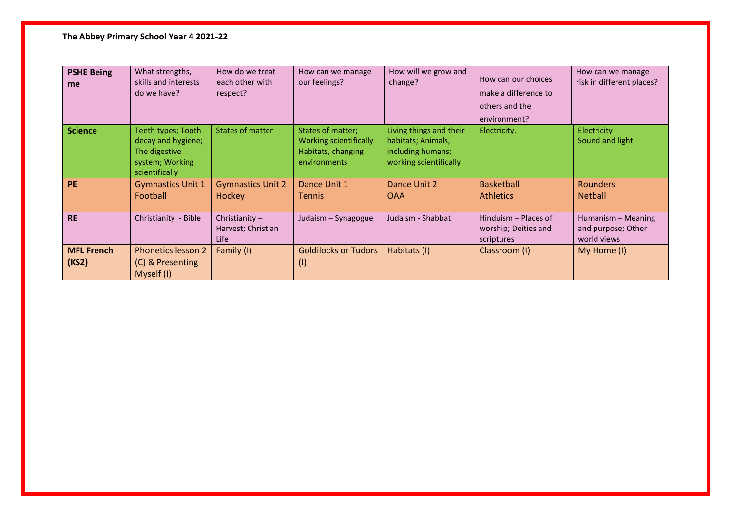## **The Abbey Primary School Year 4 2021-22**

| <b>PSHE Being</b><br>me    | What strengths,<br>skills and interests<br>do we have?                                         | How do we treat<br>each other with<br>respect? | How can we manage<br>our feelings?                                                | How will we grow and<br>change?                                                              | How can our choices<br>make a difference to<br>others and the<br>environment? | How can we manage<br>risk in different places?          |
|----------------------------|------------------------------------------------------------------------------------------------|------------------------------------------------|-----------------------------------------------------------------------------------|----------------------------------------------------------------------------------------------|-------------------------------------------------------------------------------|---------------------------------------------------------|
| <b>Science</b>             | Teeth types; Tooth<br>decay and hygiene;<br>The digestive<br>system; Working<br>scientifically | States of matter                               | States of matter;<br>Working scientifically<br>Habitats, changing<br>environments | Living things and their<br>habitats; Animals,<br>including humans;<br>working scientifically | Electricity.                                                                  | Electricity<br>Sound and light                          |
| <b>PE</b>                  | <b>Gymnastics Unit 1</b><br>Football                                                           | <b>Gymnastics Unit 2</b><br>Hockey             | Dance Unit 1<br><b>Tennis</b>                                                     | Dance Unit 2<br><b>OAA</b>                                                                   | <b>Basketball</b><br><b>Athletics</b>                                         | <b>Rounders</b><br><b>Netball</b>                       |
| <b>RE</b>                  | Christianity - Bible                                                                           | Christianity $-$<br>Harvest; Christian<br>Life | Judaism - Synagogue                                                               | Judaism - Shabbat                                                                            | Hinduism – Places of<br>worship; Deities and<br>scriptures                    | Humanism - Meaning<br>and purpose; Other<br>world views |
| <b>MFL French</b><br>(KS2) | <b>Phonetics lesson 2</b><br>(C) & Presenting<br>Myself (I)                                    | Family (I)                                     | <b>Goldilocks or Tudors</b><br>(1)                                                | Habitats (I)                                                                                 | Classroom (I)                                                                 | My Home (I)                                             |